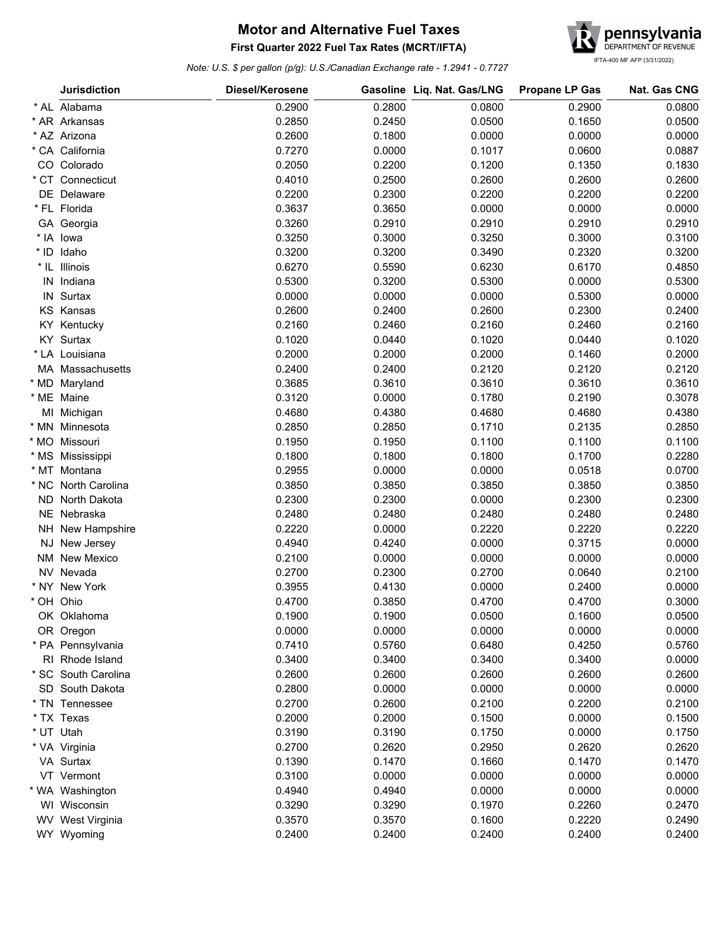## **First Quarter 2022 Fuel Tax Rates (MCRT/IFTA) Motor and Alternative Fuel Taxes**



*Note: U.S. \$ per gallon (p/g): U.S./Canadian Exchange rate - 1.2941 - 0.7727*

|        | <b>Jurisdiction</b> | Diesel/Kerosene |        | Gasoline Liq. Nat. Gas/LNG | <b>Propane LP Gas</b> | Nat. Gas CNG |
|--------|---------------------|-----------------|--------|----------------------------|-----------------------|--------------|
|        | * AL Alabama        | 0.2900          | 0.2800 | 0.0800                     | 0.2900                | 0.0800       |
|        | * AR Arkansas       | 0.2850          | 0.2450 | 0.0500                     | 0.1650                | 0.0500       |
|        | * AZ Arizona        | 0.2600          | 0.1800 | 0.0000                     | 0.0000                | 0.0000       |
|        | * CA California     | 0.7270          | 0.0000 | 0.1017                     | 0.0600                | 0.0887       |
|        | CO Colorado         | 0.2050          | 0.2200 | 0.1200                     | 0.1350                | 0.1830       |
|        | * CT Connecticut    | 0.4010          | 0.2500 | 0.2600                     | 0.2600                | 0.2600       |
|        | DE Delaware         | 0.2200          | 0.2300 | 0.2200                     | 0.2200                | 0.2200       |
|        | * FL Florida        | 0.3637          | 0.3650 | 0.0000                     | 0.0000                | 0.0000       |
|        | GA Georgia          | 0.3260          | 0.2910 | 0.2910                     | 0.2910                | 0.2910       |
|        | * IA lowa           | 0.3250          | 0.3000 | 0.3250                     | 0.3000                | 0.3100       |
| $*$ ID | Idaho               | 0.3200          | 0.3200 | 0.3490                     | 0.2320                | 0.3200       |
|        | * IL Illinois       | 0.6270          | 0.5590 | 0.6230                     | 0.6170                | 0.4850       |
| IN     | Indiana             | 0.5300          | 0.3200 | 0.5300                     | 0.0000                | 0.5300       |
|        | IN Surtax           | 0.0000          | 0.0000 | 0.0000                     | 0.5300                | 0.0000       |
|        | <b>KS Kansas</b>    | 0.2600          | 0.2400 | 0.2600                     | 0.2300                | 0.2400       |
|        | <b>KY Kentucky</b>  | 0.2160          | 0.2460 | 0.2160                     | 0.2460                | 0.2160       |
|        | KY Surtax           | 0.1020          | 0.0440 | 0.1020                     | 0.0440                | 0.1020       |
|        | * LA Louisiana      | 0.2000          | 0.2000 | 0.2000                     | 0.1460                | 0.2000       |
|        | MA Massachusetts    | 0.2400          | 0.2400 | 0.2120                     | 0.2120                | 0.2120       |
| * MD   | Maryland            | 0.3685          | 0.3610 | 0.3610                     | 0.3610                | 0.3610       |
|        | * ME Maine          | 0.3120          | 0.0000 | 0.1780                     | 0.2190                | 0.3078       |
|        | MI Michigan         | 0.4680          | 0.4380 | 0.4680                     | 0.4680                | 0.4380       |
|        | * MN Minnesota      | 0.2850          | 0.2850 | 0.1710                     | 0.2135                | 0.2850       |
|        | * MO Missouri       | 0.1950          | 0.1950 | 0.1100                     | 0.1100                | 0.1100       |
|        | * MS Mississippi    | 0.1800          | 0.1800 | 0.1800                     | 0.1700                | 0.2280       |
|        | * MT Montana        | 0.2955          | 0.0000 | 0.0000                     | 0.0518                | 0.0700       |
|        | * NC North Carolina | 0.3850          | 0.3850 | 0.3850                     | 0.3850                | 0.3850       |
| ND.    | North Dakota        | 0.2300          | 0.2300 | 0.0000                     | 0.2300                | 0.2300       |
|        | NE Nebraska         | 0.2480          | 0.2480 | 0.2480                     | 0.2480                | 0.2480       |
|        | NH New Hampshire    | 0.2220          | 0.0000 | 0.2220                     | 0.2220                | 0.2220       |
| NJ     | New Jersey          | 0.4940          | 0.4240 | 0.0000                     | 0.3715                | 0.0000       |
| NM     | New Mexico          | 0.2100          | 0.0000 | 0.0000                     | 0.0000                | 0.0000       |
| NV.    | Nevada              | 0.2700          | 0.2300 | 0.2700                     | 0.0640                | 0.2100       |
|        | * NY New York       | 0.3955          | 0.4130 | 0.0000                     | 0.2400                | 0.0000       |
|        | * OH Ohio           | 0.4700          | 0.3850 | 0.4700                     | 0.4700                | 0.3000       |
|        | OK Oklahoma         | 0.1900          | 0.1900 | 0.0500                     | 0.1600                | 0.0500       |
|        | OR Oregon           | 0.0000          | 0.0000 | 0.0000                     | 0.0000                | 0.0000       |
|        | * PA Pennsylvania   | 0.7410          | 0.5760 | 0.6480                     | 0.4250                | 0.5760       |
|        | RI Rhode Island     | 0.3400          | 0.3400 | 0.3400                     | 0.3400                | 0.0000       |
|        | * SC South Carolina | 0.2600          | 0.2600 | 0.2600                     | 0.2600                | 0.2600       |
|        | SD South Dakota     | 0.2800          | 0.0000 | 0.0000                     | 0.0000                | 0.0000       |
|        | * TN Tennessee      | 0.2700          | 0.2600 | 0.2100                     | 0.2200                | 0.2100       |
|        | * TX Texas          | 0.2000          | 0.2000 | 0.1500                     | 0.0000                | 0.1500       |
|        | * UT Utah           | 0.3190          | 0.3190 | 0.1750                     | 0.0000                | 0.1750       |
|        | * VA Virginia       | 0.2700          | 0.2620 | 0.2950                     | 0.2620                | 0.2620       |
|        | VA Surtax           | 0.1390          | 0.1470 | 0.1660                     | 0.1470                | 0.1470       |
|        | VT Vermont          | 0.3100          | 0.0000 | 0.0000                     | 0.0000                | 0.0000       |
|        | * WA Washington     | 0.4940          | 0.4940 | 0.0000                     | 0.0000                | 0.0000       |
|        | WI Wisconsin        | 0.3290          | 0.3290 | 0.1970                     | 0.2260                | 0.2470       |
|        | WV West Virginia    | 0.3570          | 0.3570 | 0.1600                     | 0.2220                | 0.2490       |
|        | WY Wyoming          | 0.2400          | 0.2400 | 0.2400                     | 0.2400                | 0.2400       |
|        |                     |                 |        |                            |                       |              |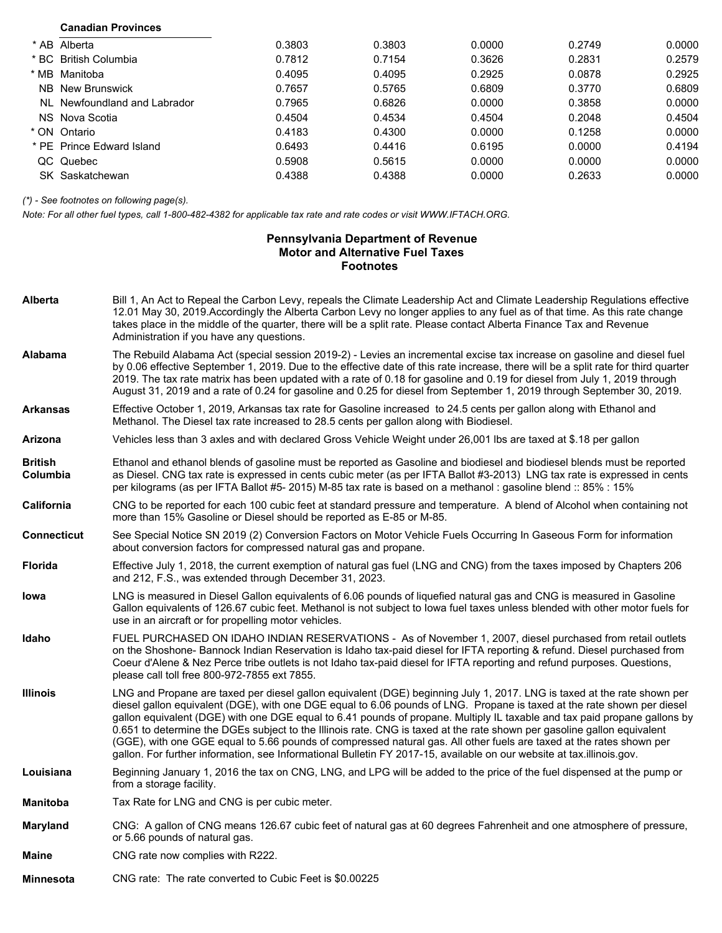| <b>Canadian Provinces</b>    |        |        |        |        |        |
|------------------------------|--------|--------|--------|--------|--------|
| * AB Alberta                 | 0.3803 | 0.3803 | 0.0000 | 0.2749 | 0.0000 |
| * BC British Columbia        | 0.7812 | 0.7154 | 0.3626 | 0.2831 | 0.2579 |
| * MB Manitoba                | 0.4095 | 0.4095 | 0.2925 | 0.0878 | 0.2925 |
| NB New Brunswick             | 0.7657 | 0.5765 | 0.6809 | 0.3770 | 0.6809 |
| NI Newfoundland and Labrador | 0.7965 | 0.6826 | 0.0000 | 0.3858 | 0.0000 |
| NS Nova Scotia               | 0.4504 | 0.4534 | 0.4504 | 0.2048 | 0.4504 |
| * ON Ontario                 | 0.4183 | 0.4300 | 0.0000 | 0.1258 | 0.0000 |
| * PF Prince Fdward Island    | 0.6493 | 0.4416 | 0.6195 | 0.0000 | 0.4194 |
| QC Quebec                    | 0.5908 | 0.5615 | 0.0000 | 0.0000 | 0.0000 |
| SK Saskatchewan              | 0.4388 | 0.4388 | 0.0000 | 0.2633 | 0.0000 |

*(\*) - See footnotes on following page(s).*

*Note: For all other fuel types, call 1-800-482-4382 for applicable tax rate and rate codes or visit WWW.IFTACH.ORG.*

## **Pennsylvania Department of Revenue Motor and Alternative Fuel Taxes Footnotes**

| <b>Alberta</b>      | Bill 1, An Act to Repeal the Carbon Levy, repeals the Climate Leadership Act and Climate Leadership Regulations effective<br>12.01 May 30, 2019. Accordingly the Alberta Carbon Levy no longer applies to any fuel as of that time. As this rate change<br>takes place in the middle of the quarter, there will be a split rate. Please contact Alberta Finance Tax and Revenue<br>Administration if you have any questions.                                                                                                                                                                                                                                                                                                                                |
|---------------------|-------------------------------------------------------------------------------------------------------------------------------------------------------------------------------------------------------------------------------------------------------------------------------------------------------------------------------------------------------------------------------------------------------------------------------------------------------------------------------------------------------------------------------------------------------------------------------------------------------------------------------------------------------------------------------------------------------------------------------------------------------------|
| Alabama             | The Rebuild Alabama Act (special session 2019-2) - Levies an incremental excise tax increase on gasoline and diesel fuel<br>by 0.06 effective September 1, 2019. Due to the effective date of this rate increase, there will be a split rate for third quarter<br>2019. The tax rate matrix has been updated with a rate of 0.18 for gasoline and 0.19 for diesel from July 1, 2019 through<br>August 31, 2019 and a rate of 0.24 for gasoline and 0.25 for diesel from September 1, 2019 through September 30, 2019.                                                                                                                                                                                                                                       |
| Arkansas            | Effective October 1, 2019, Arkansas tax rate for Gasoline increased to 24.5 cents per gallon along with Ethanol and<br>Methanol. The Diesel tax rate increased to 28.5 cents per gallon along with Biodiesel.                                                                                                                                                                                                                                                                                                                                                                                                                                                                                                                                               |
| <b>Arizona</b>      | Vehicles less than 3 axles and with declared Gross Vehicle Weight under 26,001 lbs are taxed at \$.18 per gallon                                                                                                                                                                                                                                                                                                                                                                                                                                                                                                                                                                                                                                            |
| British<br>Columbia | Ethanol and ethanol blends of gasoline must be reported as Gasoline and biodiesel and biodiesel blends must be reported<br>as Diesel. CNG tax rate is expressed in cents cubic meter (as per IFTA Ballot #3-2013) LNG tax rate is expressed in cents<br>per kilograms (as per IFTA Ballot #5- 2015) M-85 tax rate is based on a methanol : gasoline blend :: 85% : 15%                                                                                                                                                                                                                                                                                                                                                                                      |
| California          | CNG to be reported for each 100 cubic feet at standard pressure and temperature. A blend of Alcohol when containing not<br>more than 15% Gasoline or Diesel should be reported as E-85 or M-85.                                                                                                                                                                                                                                                                                                                                                                                                                                                                                                                                                             |
| <b>Connecticut</b>  | See Special Notice SN 2019 (2) Conversion Factors on Motor Vehicle Fuels Occurring In Gaseous Form for information<br>about conversion factors for compressed natural gas and propane.                                                                                                                                                                                                                                                                                                                                                                                                                                                                                                                                                                      |
| Florida             | Effective July 1, 2018, the current exemption of natural gas fuel (LNG and CNG) from the taxes imposed by Chapters 206<br>and 212, F.S., was extended through December 31, 2023.                                                                                                                                                                                                                                                                                                                                                                                                                                                                                                                                                                            |
| Iowa                | LNG is measured in Diesel Gallon equivalents of 6.06 pounds of liquefied natural gas and CNG is measured in Gasoline<br>Gallon equivalents of 126.67 cubic feet. Methanol is not subject to lowa fuel taxes unless blended with other motor fuels for<br>use in an aircraft or for propelling motor vehicles.                                                                                                                                                                                                                                                                                                                                                                                                                                               |
| Idaho               | FUEL PURCHASED ON IDAHO INDIAN RESERVATIONS - As of November 1, 2007, diesel purchased from retail outlets<br>on the Shoshone- Bannock Indian Reservation is Idaho tax-paid diesel for IFTA reporting & refund. Diesel purchased from<br>Coeur d'Alene & Nez Perce tribe outlets is not Idaho tax-paid diesel for IFTA reporting and refund purposes. Questions,<br>please call toll free 800-972-7855 ext 7855.                                                                                                                                                                                                                                                                                                                                            |
| <b>Illinois</b>     | LNG and Propane are taxed per diesel gallon equivalent (DGE) beginning July 1, 2017. LNG is taxed at the rate shown per<br>diesel gallon equivalent (DGE), with one DGE equal to 6.06 pounds of LNG. Propane is taxed at the rate shown per diesel<br>gallon equivalent (DGE) with one DGE equal to 6.41 pounds of propane. Multiply IL taxable and tax paid propane gallons by<br>0.651 to determine the DGEs subject to the Illinois rate. CNG is taxed at the rate shown per gasoline gallon equivalent<br>(GGE), with one GGE equal to 5.66 pounds of compressed natural gas. All other fuels are taxed at the rates shown per<br>gallon. For further information, see Informational Bulletin FY 2017-15, available on our website at tax.illinois.gov. |
| Louisiana           | Beginning January 1, 2016 the tax on CNG, LNG, and LPG will be added to the price of the fuel dispensed at the pump or<br>from a storage facility.                                                                                                                                                                                                                                                                                                                                                                                                                                                                                                                                                                                                          |
| <b>Manitoba</b>     | Tax Rate for LNG and CNG is per cubic meter.                                                                                                                                                                                                                                                                                                                                                                                                                                                                                                                                                                                                                                                                                                                |
| <b>Maryland</b>     | CNG: A gallon of CNG means 126.67 cubic feet of natural gas at 60 degrees Fahrenheit and one atmosphere of pressure,<br>or 5.66 pounds of natural gas.                                                                                                                                                                                                                                                                                                                                                                                                                                                                                                                                                                                                      |
| <b>Maine</b>        | CNG rate now complies with R222.                                                                                                                                                                                                                                                                                                                                                                                                                                                                                                                                                                                                                                                                                                                            |
| <b>Minnesota</b>    | CNG rate: The rate converted to Cubic Feet is \$0.00225                                                                                                                                                                                                                                                                                                                                                                                                                                                                                                                                                                                                                                                                                                     |